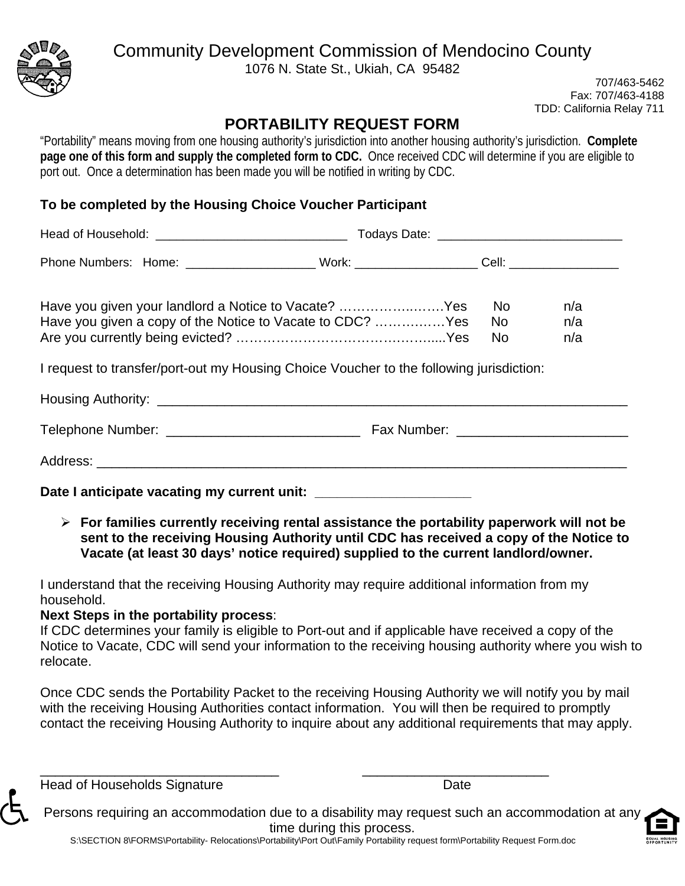

## Community Development Commission of Mendocino County

1076 N. State St., Ukiah, CA 95482

707/463-5462 Fax: 707/463-4188 TDD: California Relay 711

## **PORTABILITY REQUEST FORM**

"Portability" means moving from one housing authority's jurisdiction into another housing authority's jurisdiction. **Complete page one of this form and supply the completed form to CDC.** Once received CDC will determine if you are eligible to port out. Once a determination has been made you will be notified in writing by CDC.

## **To be completed by the Housing Choice Voucher Participant**

|                                                                                                                                                                                                              | Todays Date: __________________________________ |                  |                   |  |
|--------------------------------------------------------------------------------------------------------------------------------------------------------------------------------------------------------------|-------------------------------------------------|------------------|-------------------|--|
| Phone Numbers: Home: ______________________Work: ____________________Cell: _________________________                                                                                                         |                                                 |                  |                   |  |
| Have you given your landlord a Notice to Vacate? Yes<br>Have you given a copy of the Notice to Vacate to CDC? Yes<br>I request to transfer/port-out my Housing Choice Voucher to the following jurisdiction: |                                                 | No<br>No l<br>No | n/a<br>n/a<br>n/a |  |
|                                                                                                                                                                                                              |                                                 |                  |                   |  |
|                                                                                                                                                                                                              |                                                 |                  |                   |  |
|                                                                                                                                                                                                              |                                                 |                  |                   |  |

Date I anticipate vacating my current unit:

 **For families currently receiving rental assistance the portability paperwork will not be sent to the receiving Housing Authority until CDC has received a copy of the Notice to Vacate (at least 30 days' notice required) supplied to the current landlord/owner.** 

I understand that the receiving Housing Authority may require additional information from my household.

### **Next Steps in the portability process**:

If CDC determines your family is eligible to Port-out and if applicable have received a copy of the Notice to Vacate, CDC will send your information to the receiving housing authority where you wish to relocate.

Once CDC sends the Portability Packet to the receiving Housing Authority we will notify you by mail with the receiving Housing Authorities contact information. You will then be required to promptly contact the receiving Housing Authority to inquire about any additional requirements that may apply.

Head of Households Signature **Date** Date

Persons requiring an accommodation due to a disability may request such an accommodation at any time during this process.

S:\SECTION 8\FORMS\Portability- Relocations\Portability\Port Out\Family Portability request form\Portability Request Form.doc

\_\_\_\_\_\_\_\_\_\_\_\_\_\_\_\_\_\_\_\_\_\_\_\_\_\_\_\_\_\_\_\_ \_\_\_\_\_\_\_\_\_\_\_\_\_\_\_\_\_\_\_\_\_\_\_\_\_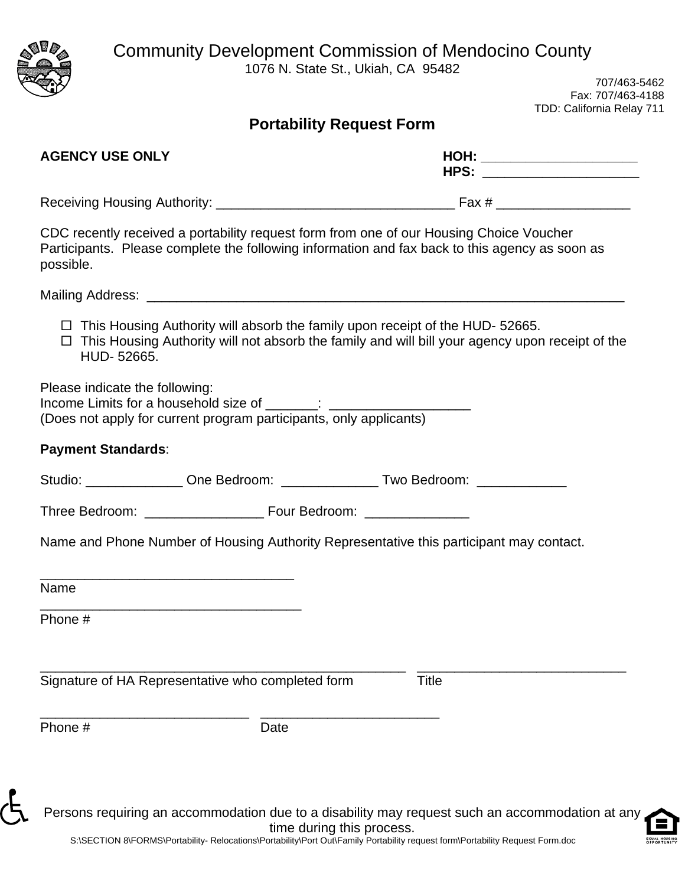Community Development Commission of Mendocino County

1076 N. State St., Ukiah, CA 95482



707/463-5462 Fax: 707/463-4188 TDD: California Relay 711

|  | Portability Request Form |  |
|--|--------------------------|--|
|  |                          |  |

| <b>AGENCY USE ONLY</b>                                                                                                                                                                                      |                           | HOH: ________________________<br>HPS: ___________________ |
|-------------------------------------------------------------------------------------------------------------------------------------------------------------------------------------------------------------|---------------------------|-----------------------------------------------------------|
|                                                                                                                                                                                                             |                           |                                                           |
| CDC recently received a portability request form from one of our Housing Choice Voucher<br>Participants. Please complete the following information and fax back to this agency as soon as<br>possible.      |                           |                                                           |
|                                                                                                                                                                                                             |                           |                                                           |
| $\Box$ This Housing Authority will absorb the family upon receipt of the HUD-52665.<br>$\Box$ This Housing Authority will not absorb the family and will bill your agency upon receipt of the<br>HUD-52665. |                           |                                                           |
| Please indicate the following:<br>(Does not apply for current program participants, only applicants)                                                                                                        |                           |                                                           |
| <b>Payment Standards:</b>                                                                                                                                                                                   |                           |                                                           |
| Studio: _______________ One Bedroom: _______________ Two Bedroom: ______________                                                                                                                            |                           |                                                           |
|                                                                                                                                                                                                             |                           |                                                           |
| Name and Phone Number of Housing Authority Representative this participant may contact.                                                                                                                     |                           |                                                           |
| Name                                                                                                                                                                                                        |                           |                                                           |
| Phone #                                                                                                                                                                                                     |                           |                                                           |
| Signature of HA Representative who completed form                                                                                                                                                           | <b>Title</b>              |                                                           |
| Phone #                                                                                                                                                                                                     | Date                      |                                                           |
| Persons requiring an accommodation due to a disability may request such an accommodation at any                                                                                                             | time during this process. |                                                           |

S:\SECTION 8\FORMS\Portability- Relocations\Portability\Port Out\Family Portability request form\Portability Request Form.doc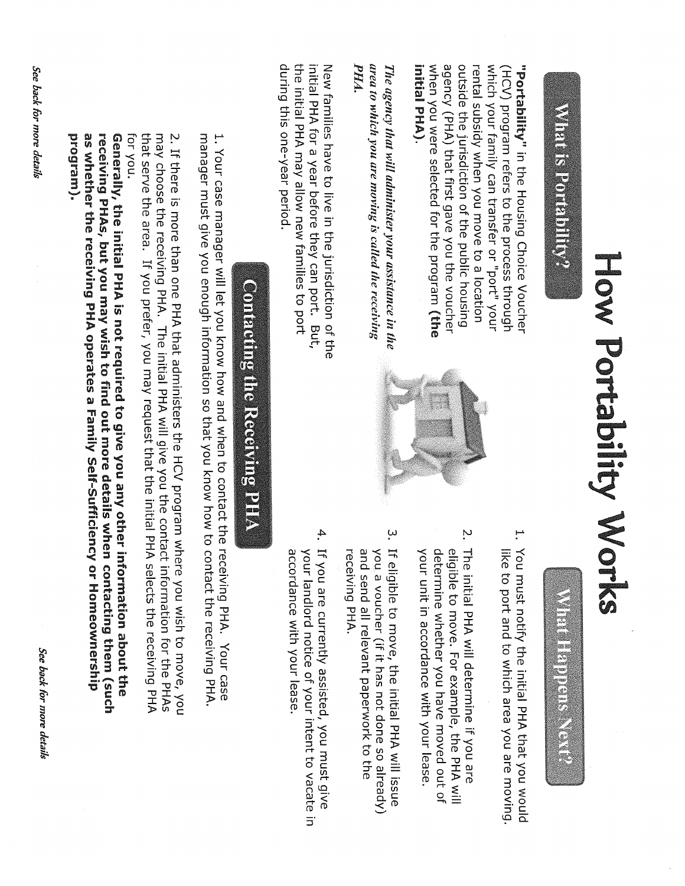## What is Portability?

agency (PHA) that first gave you the voucher outside the jurisdiction of the public housing **Intial PHA).** when you were selected for the program (the rental subsidy when you move to a location which your family can transfer or "port" your (HCV) program refers to the process through "Portability" in the Housing Choice Voucher

PHA. area to which you are moving is called the receiving The agency that will administer your assistance in the

during this one-year period. the initial PHA may allow new families to port initial PHA for a year before they can port. But, New families have to live in the jurisdiction of the



Construction of the construction

- 1. You must notify the initial PHA that you would like to port and to which area you are moving
- $\ddot{\sim}$ The initial PHA will determine if you are eligible to move. For example, the PHA will determine whether you have moved out of your unit in accordance with your lease
- $\ddot{\omega}$ If eligible to move, the initial PHA will issue and send all relevant paperwork to the receiving PHA. you a voucher (if it has not done so already)
- 4. If you are currently assisted, you must give accordance with your lease. your landlord notice of your intent to vacate in

## **Contacting the Receiving PHA**

1. Your case manager will let you know how and when to contact the receiving PHA. Your case manager must give you enough information so that you know how to contact the receiving PHA.

that serve the area. If you prefer, you may request that the initial PHA selects the receiving PHA for you. may choose the receiving PHA. The initial PHA will give you the contact information for the PHAs 2. If there is more than one PHA that administers the HCV program where you wish to move, you

as whether the receiving PHA operates a Family Self-Sufficiency or Homeownership receiving PHAs, but you may wish to find out more details when contacting them (such brogram). Generally, the initial PHA is not required to give you any other information about the